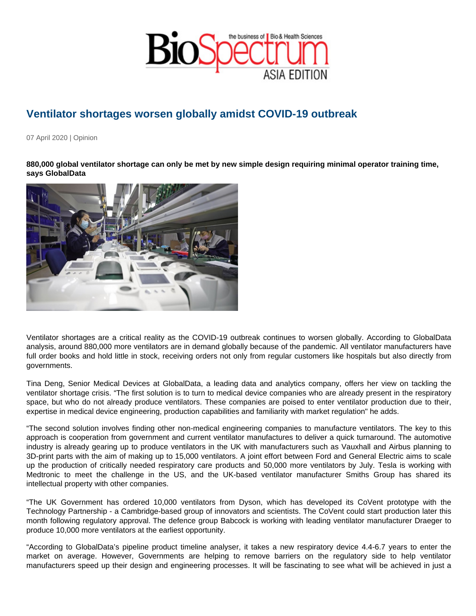## Ventilator shortages worsen globally amidst COVID-19 outbreak

07 April 2020 | Opinion

880,000 global ventilator shortage can only be met by new simple design requiring minimal operator training time, says GlobalData

Ventilator shortages are a critical reality as the COVID-19 outbreak continues to worsen globally. According to GlobalData analysis, around 880,000 more ventilators are in demand globally because of the pandemic. All ventilator manufacturers have full order books and hold little in stock, receiving orders not only from regular customers like hospitals but also directly from governments.

Tina Deng, Senior Medical Devices at GlobalData, a leading data and analytics company, offers her view on tackling the ventilator shortage crisis. "The first solution is to turn to medical device companies who are already present in the respiratory space, but who do not already produce ventilators. These companies are poised to enter ventilator production due to their, expertise in medical device engineering, production capabilities and familiarity with market regulation" he adds.

"The second solution involves finding other non-medical engineering companies to manufacture ventilators. The key to this approach is cooperation from government and current ventilator manufactures to deliver a quick turnaround. The automotive industry is already gearing up to produce ventilators in the UK with manufacturers such as Vauxhall and Airbus planning to 3D-print parts with the aim of making up to 15,000 ventilators. A joint effort between Ford and General Electric aims to scale up the production of critically needed respiratory care products and 50,000 more ventilators by July. Tesla is working with Medtronic to meet the challenge in the US, and the UK-based ventilator manufacturer Smiths Group has shared its intellectual property with other companies.

"The UK Government has ordered 10,000 ventilators from Dyson, which has developed its CoVent prototype with the Technology Partnership - a Cambridge-based group of innovators and scientists. The CoVent could start production later this month following regulatory approval. The defence group Babcock is working with leading ventilator manufacturer Draeger to produce 10,000 more ventilators at the earliest opportunity.

"According to GlobalData's pipeline product timeline analyser, it takes a new respiratory device 4.4-6.7 years to enter the market on average. However, Governments are helping to remove barriers on the regulatory side to help ventilator manufacturers speed up their design and engineering processes. It will be fascinating to see what will be achieved in just a